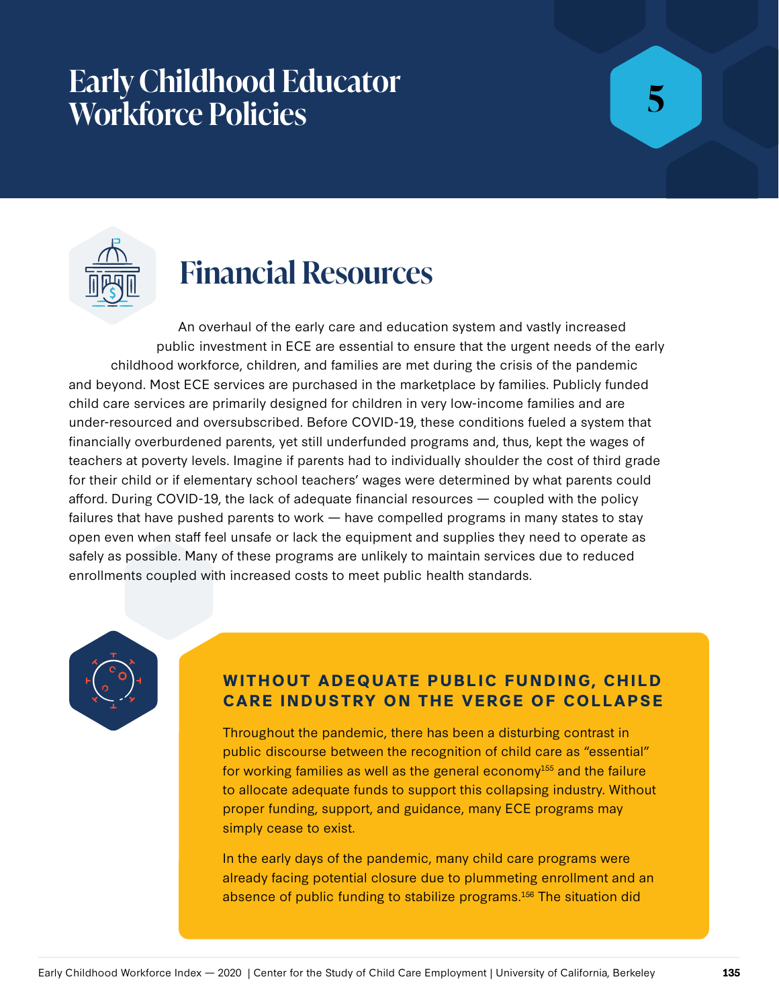## **Early Childhood Educator Workforce Policies**

# **5**



## **Financial Resources**

An overhaul of the early care and education system and vastly increased public investment in ECE are essential to ensure that the urgent needs of the early childhood workforce, children, and families are met during the crisis of the pandemic and beyond. Most ECE services are purchased in the marketplace by families. Publicly funded child care services are primarily designed for children in very low-income families and are under-resourced and oversubscribed. Before COVID-19, these conditions fueled a system that financially overburdened parents, yet still underfunded programs and, thus, kept the wages of teachers at poverty levels. Imagine if parents had to individually shoulder the cost of third grade for their child or if elementary school teachers' wages were determined by what parents could afford. During COVID-19, the lack of adequate financial resources — coupled with the policy failures that have pushed parents to work — have compelled programs in many states to stay open even when staff feel unsafe or lack the equipment and supplies they need to operate as safely as possible. Many of these programs are unlikely to maintain services due to reduced enrollments coupled with increased costs to meet public health standards.



## **WITHOUT ADEQUATE PUBLIC FUNDING, CHILD CARE INDUSTRY ON THE VERGE OF COLLAPSE**

Throughout the pandemic, there has been a disturbing contrast in public discourse between the recognition of child care as "essential" for working families as well as the general economy<sup>155</sup> and the failure to allocate adequate funds to support this collapsing industry. Without proper funding, support, and guidance, many ECE programs may simply cease to exist.

In the early days of the pandemic, many child care programs were already facing potential closure due to plummeting enrollment and an absence of public funding to stabilize programs.<sup>156</sup> The situation did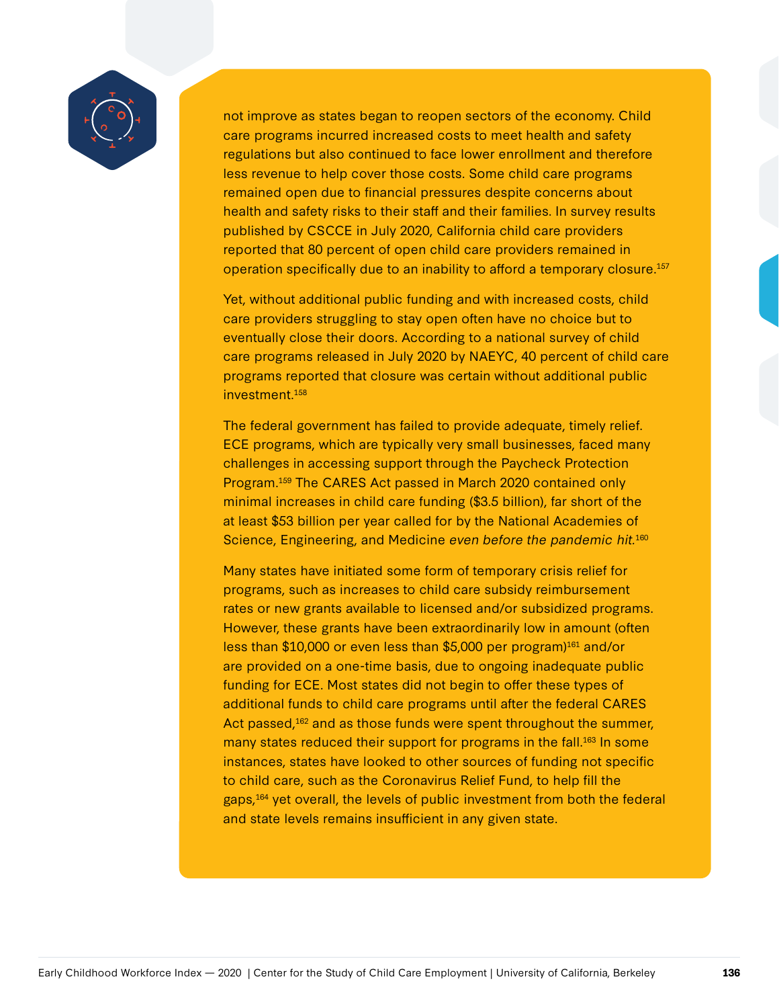

not improve as states began to reopen sectors of the economy. Child care programs incurred increased costs to meet health and safety regulations but also continued to face lower enrollment and therefore less revenue to help cover those costs. Some child care programs remained open due to financial pressures despite concerns about health and safety risks to their staff and their families. In survey results published by CSCCE in July 2020, California child care providers reported that 80 percent of open child care providers remained in operation specifically due to an inability to afford a temporary closure.157

Yet, without additional public funding and with increased costs, child care providers struggling to stay open often have no choice but to eventually close their doors. According to a national survey of child care programs released in July 2020 by NAEYC, 40 percent of child care programs reported that closure was certain without additional public investment.<sup>158</sup>

The federal government has failed to provide adequate, timely relief. ECE programs, which are typically very small businesses, faced many challenges in accessing support through the Paycheck Protection Program.159 The CARES Act passed in March 2020 contained only minimal increases in child care funding (\$3.5 billion), far short of the at least \$53 billion per year called for by the National Academies of Science, Engineering, and Medicine even before the pandemic hit.<sup>160</sup>

Many states have initiated some form of temporary crisis relief for programs, such as increases to child care subsidy reimbursement rates or new grants available to licensed and/or subsidized programs. However, these grants have been extraordinarily low in amount (often less than \$10,000 or even less than \$5,000 per program)<sup>161</sup> and/or are provided on a one-time basis, due to ongoing inadequate public funding for ECE. Most states did not begin to offer these types of additional funds to child care programs until after the federal CARES Act passed,<sup>162</sup> and as those funds were spent throughout the summer, many states reduced their support for programs in the fall.<sup>163</sup> In some instances, states have looked to other sources of funding not specific to child care, such as the Coronavirus Relief Fund, to help fill the gaps,<sup>164</sup> yet overall, the levels of public investment from both the federal and state levels remains insufficient in any given state.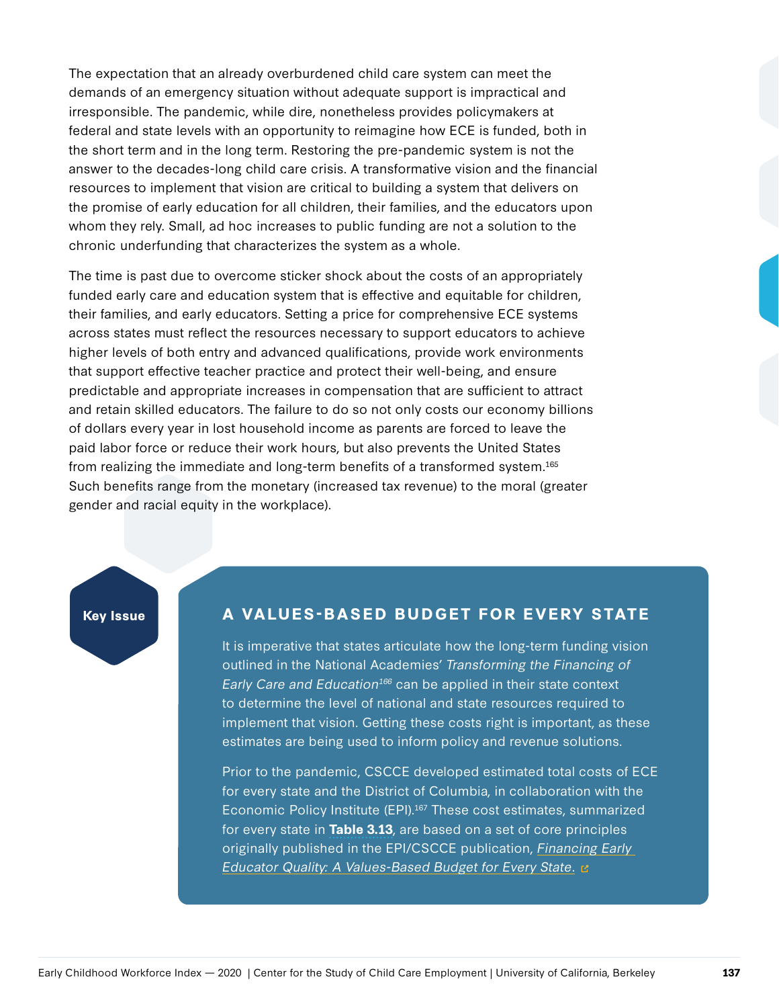The expectation that an already overburdened child care system can meet the demands of an emergency situation without adequate support is impractical and irresponsible. The pandemic, while dire, nonetheless provides policymakers at federal and state levels with an opportunity to reimagine how ECE is funded, both in the short term and in the long term. Restoring the pre-pandemic system is not the answer to the decades-long child care crisis. A transformative vision and the financial resources to implement that vision are critical to building a system that delivers on the promise of early education for all children, their families, and the educators upon whom they rely. Small, ad hoc increases to public funding are not a solution to the chronic underfunding that characterizes the system as a whole.

The time is past due to overcome sticker shock about the costs of an appropriately funded early care and education system that is effective and equitable for children, their families, and early educators. Setting a price for comprehensive ECE systems across states must reflect the resources necessary to support educators to achieve higher levels of both entry and advanced qualifications, provide work environments that support effective teacher practice and protect their well-being, and ensure predictable and appropriate increases in compensation that are sufficient to attract and retain skilled educators. The failure to do so not only costs our economy billions of dollars every year in lost household income as parents are forced to leave the paid labor force or reduce their work hours, but also prevents the United States from realizing the immediate and long-term benefits of a transformed system.165 Such benefits range from the monetary (increased tax revenue) to the moral (greater gender and racial equity in the workplace).

## **Key Issue A VALUES-BASED BUDGET FOR EVERY STATE**

It is imperative that states articulate how the long-term funding vision outlined in the National Academies' Transforming the Financing of Early Care and Education<sup>166</sup> can be applied in their state context to determine the level of national and state resources required to implement that vision. Getting these costs right is important, as these estimates are being used to inform policy and revenue solutions.

Prior to the pandemic, CSCCE developed estimated total costs of ECE for every state and the District of Columbia, in collaboration with the Economic Policy Institute (EPI).167 These cost estimates, summarized for every state in **Table 3.13**, are based on a set of core principles originally published in the EPI/CSCCE publication, [Financing Early](https://cscce.berkeley.edu/financing-early-educator-quality-a-values-based-budget-for-every-state/)  [Educator Quality: A Values-Based Budget for Every State](https://cscce.berkeley.edu/financing-early-educator-quality-a-values-based-budget-for-every-state/). E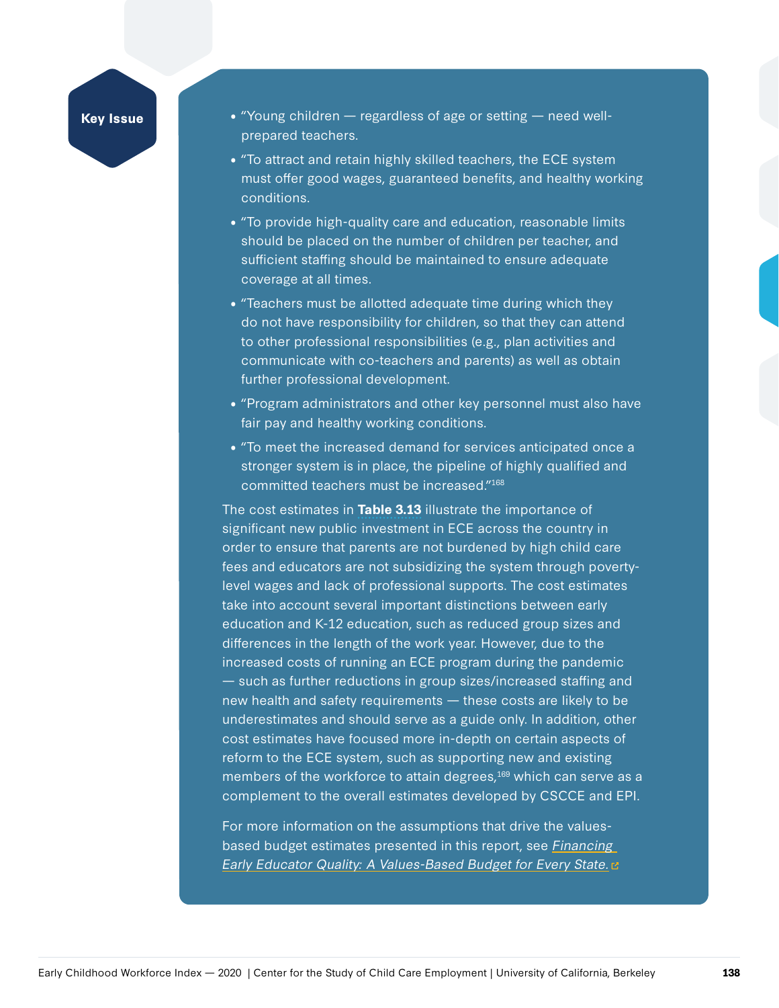## **Key Issue**

- "Young children  $-$  regardless of age or setting  $-$  need wellprepared teachers.
- "To attract and retain highly skilled teachers, the ECE system must offer good wages, guaranteed benefits, and healthy working conditions.
- "To provide high-quality care and education, reasonable limits should be placed on the number of children per teacher, and sufficient staffing should be maintained to ensure adequate coverage at all times.
- "Teachers must be allotted adequate time during which they do not have responsibility for children, so that they can attend to other professional responsibilities (e.g., plan activities and communicate with co-teachers and parents) as well as obtain further professional development.
- "Program administrators and other key personnel must also have fair pay and healthy working conditions.
- "To meet the increased demand for services anticipated once a stronger system is in place, the pipeline of highly qualified and committed teachers must be increased."168

The cost estimates in **Table 3.13** illustrate the importance of significant new public investment in ECE across the country in order to ensure that parents are not burdened by high child care fees and educators are not subsidizing the system through povertylevel wages and lack of professional supports. The cost estimates take into account several important distinctions between early education and K-12 education, such as reduced group sizes and differences in the length of the work year. However, due to the increased costs of running an ECE program during the pandemic — such as further reductions in group sizes/increased staffing and new health and safety requirements — these costs are likely to be underestimates and should serve as a guide only. In addition, other cost estimates have focused more in-depth on certain aspects of reform to the ECE system, such as supporting new and existing members of the workforce to attain degrees,<sup>169</sup> which can serve as a complement to the overall estimates developed by CSCCE and EPI.

For more information on the assumptions that drive the valuesbased budget estimates presented in this report, see Financing [Early Educator Quality: A Values-Based Budget for Every State.](https://cscce.berkeley.edu/financing-early-educator-quality-a-values-based-budget-for-every-state//) E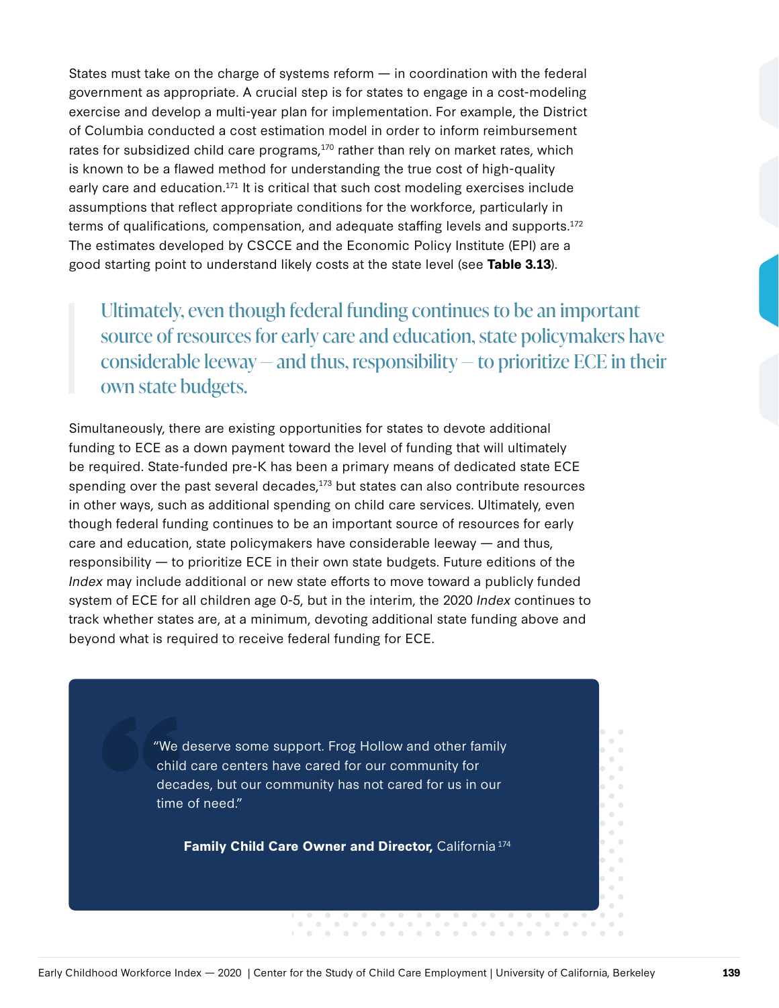States must take on the charge of systems reform — in coordination with the federal government as appropriate. A crucial step is for states to engage in a cost-modeling exercise and develop a multi-year plan for implementation. For example, the District of Columbia conducted a cost estimation model in order to inform reimbursement rates for subsidized child care programs, $170$  rather than rely on market rates, which is known to be a flawed method for understanding the true cost of high-quality early care and education.<sup>171</sup> It is critical that such cost modeling exercises include assumptions that reflect appropriate conditions for the workforce, particularly in terms of qualifications, compensation, and adequate staffing levels and supports.172 The estimates developed by CSCCE and the Economic Policy Institute (EPI) are a good starting point to understand likely costs at the state level (see **Table 3.13**).

Ultimately, even though federal funding continues to be an important source of resources for early care and education, state policymakers have considerable leeway — and thus, responsibility — to prioritize ECE in their own state budgets.

Simultaneously, there are existing opportunities for states to devote additional funding to ECE as a down payment toward the level of funding that will ultimately be required. State-funded pre-K has been a primary means of dedicated state ECE spending over the past several decades, $173$  but states can also contribute resources in other ways, such as additional spending on child care services. Ultimately, even though federal funding continues to be an important source of resources for early care and education, state policymakers have considerable leeway — and thus, responsibility — to prioritize ECE in their own state budgets. Future editions of the Index may include additional or new state efforts to move toward a publicly funded system of ECE for all children age 0-5, but in the interim, the 2020 *Index* continues to track whether states are, at a minimum, devoting additional state funding above and beyond what is required to receive federal funding for ECE.

> "We deserve some support. Frog Hollow and other family child care centers have cared for our community for decades, but our community has not cared for us in our time of need."

Family Child Care Owner and Director, California<sup>174</sup>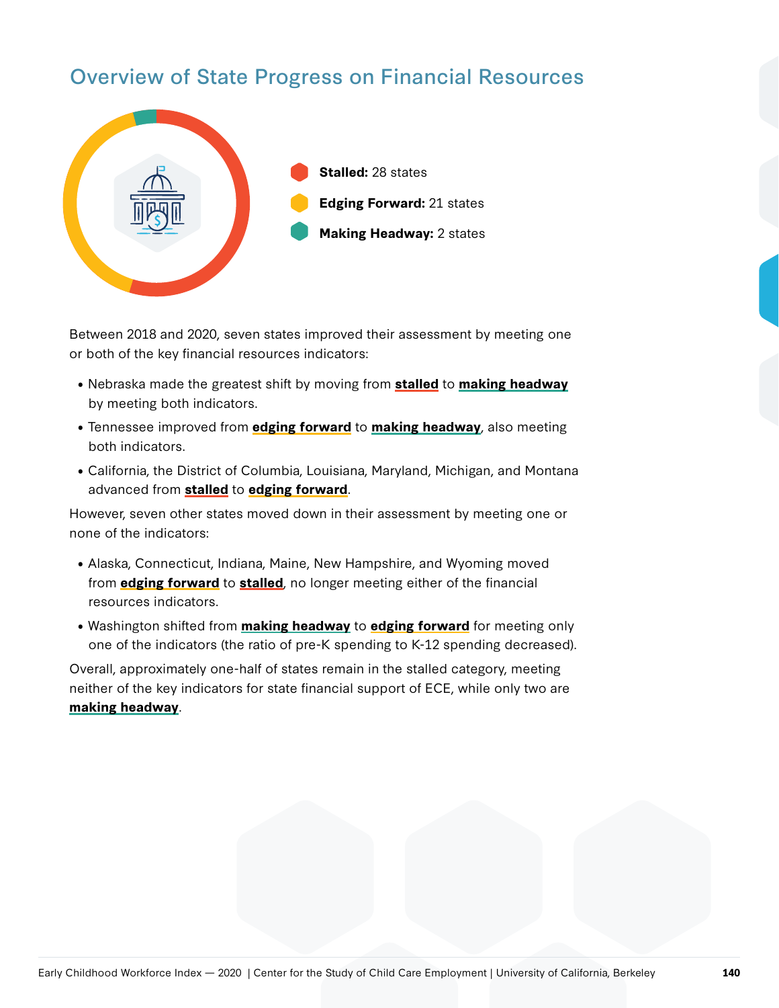## Overview of State Progress on Financial Resources



Between 2018 and 2020, seven states improved their assessment by meeting one or both of the key financial resources indicators:

- Nebraska made the greatest shift by moving from **stalled** to **making headway** by meeting both indicators.
- Tennessee improved from **edging forward** to **making headway**, also meeting both indicators.
- California, the District of Columbia, Louisiana, Maryland, Michigan, and Montana advanced from **stalled** to **edging forward**.

However, seven other states moved down in their assessment by meeting one or none of the indicators:

- Alaska, Connecticut, Indiana, Maine, New Hampshire, and Wyoming moved from **edging forward** to **stalled**, no longer meeting either of the financial resources indicators.
- Washington shifted from **making headway** to **edging forward** for meeting only one of the indicators (the ratio of pre-K spending to K-12 spending decreased).

Overall, approximately one-half of states remain in the stalled category, meeting neither of the key indicators for state financial support of ECE, while only two are **making headway**.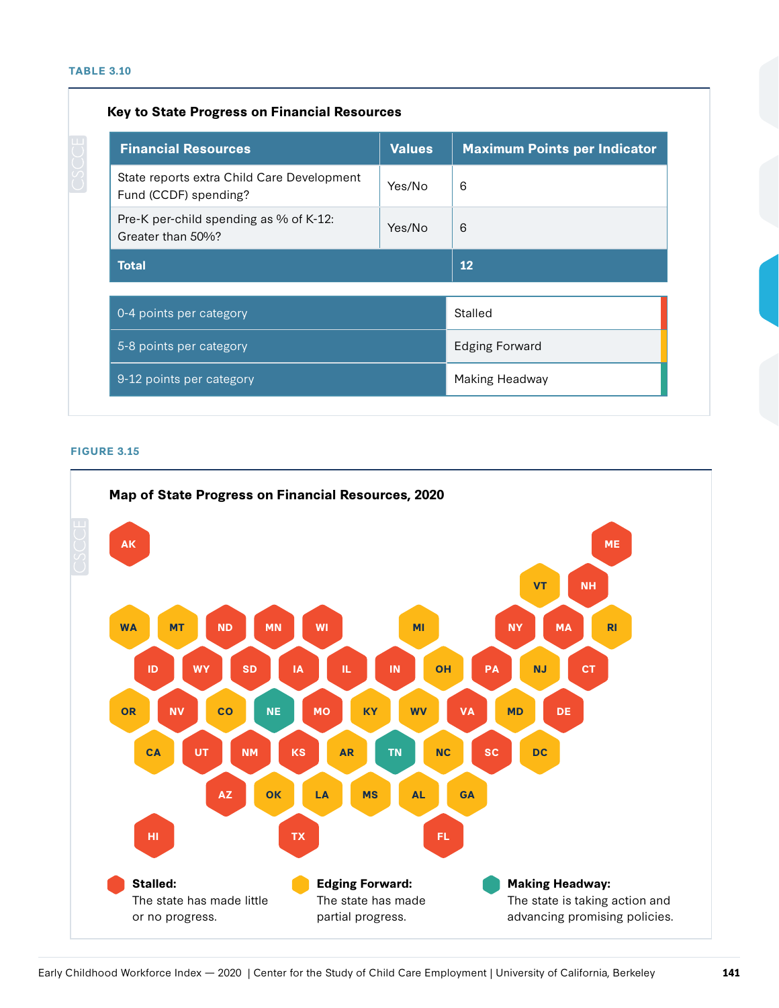## **Key to State Progress on Financial Resources**

| <b>Financial Resources</b>                                          | <b>Values</b> | <b>Maximum Points per Indicator</b> |  |
|---------------------------------------------------------------------|---------------|-------------------------------------|--|
| State reports extra Child Care Development<br>Fund (CCDF) spending? | Yes/No        | 6                                   |  |
| Pre-K per-child spending as % of K-12:<br>Greater than 50%?         | Yes/No        | 6                                   |  |
| <b>Total</b>                                                        |               | 12                                  |  |
| 0-4 points per category                                             |               | Stalled                             |  |
| 5-8 points per category                                             |               | <b>Edging Forward</b>               |  |
| 9-12 points per category                                            |               | Making Headway                      |  |

#### **FIGURE 3.15**

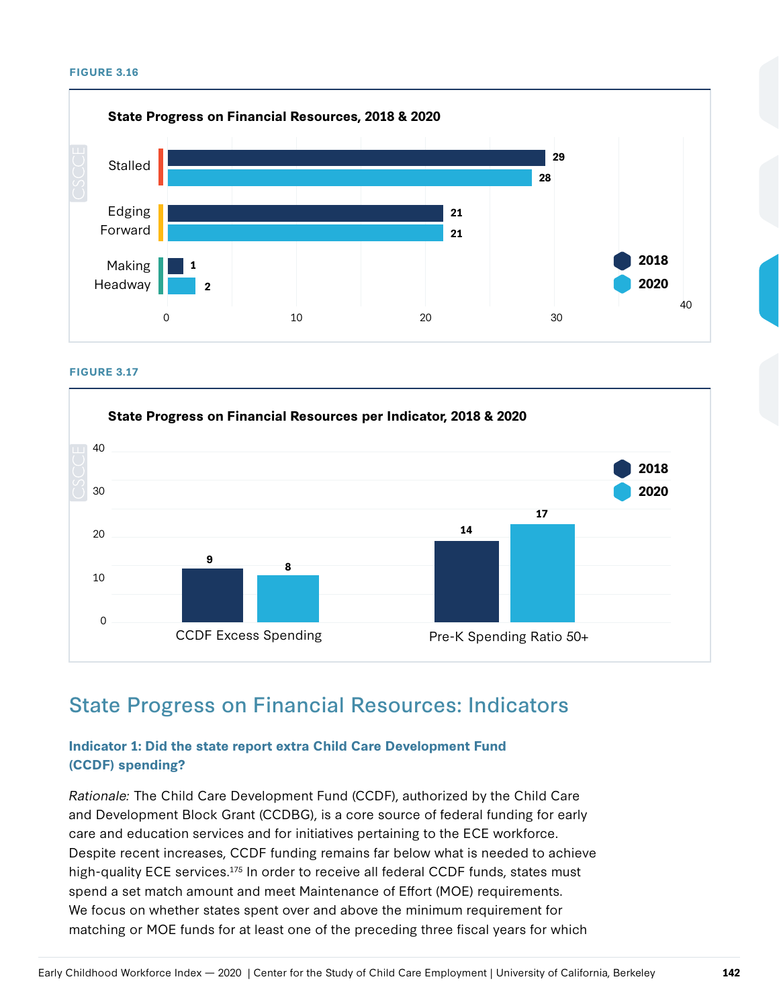#### **FIGURE 3.16**



#### **FIGURE 3.17**



## State Progress on Financial Resources: Indicators

## **Indicator 1: Did the state report extra Child Care Development Fund (CCDF) spending?**

Rationale: The Child Care Development Fund (CCDF), authorized by the Child Care and Development Block Grant (CCDBG), is a core source of federal funding for early care and education services and for initiatives pertaining to the ECE workforce. Despite recent increases, CCDF funding remains far below what is needed to achieve high-quality ECE services.<sup>175</sup> In order to receive all federal CCDF funds, states must spend a set match amount and meet Maintenance of Effort (MOE) requirements. We focus on whether states spent over and above the minimum requirement for matching or MOE funds for at least one of the preceding three fiscal years for which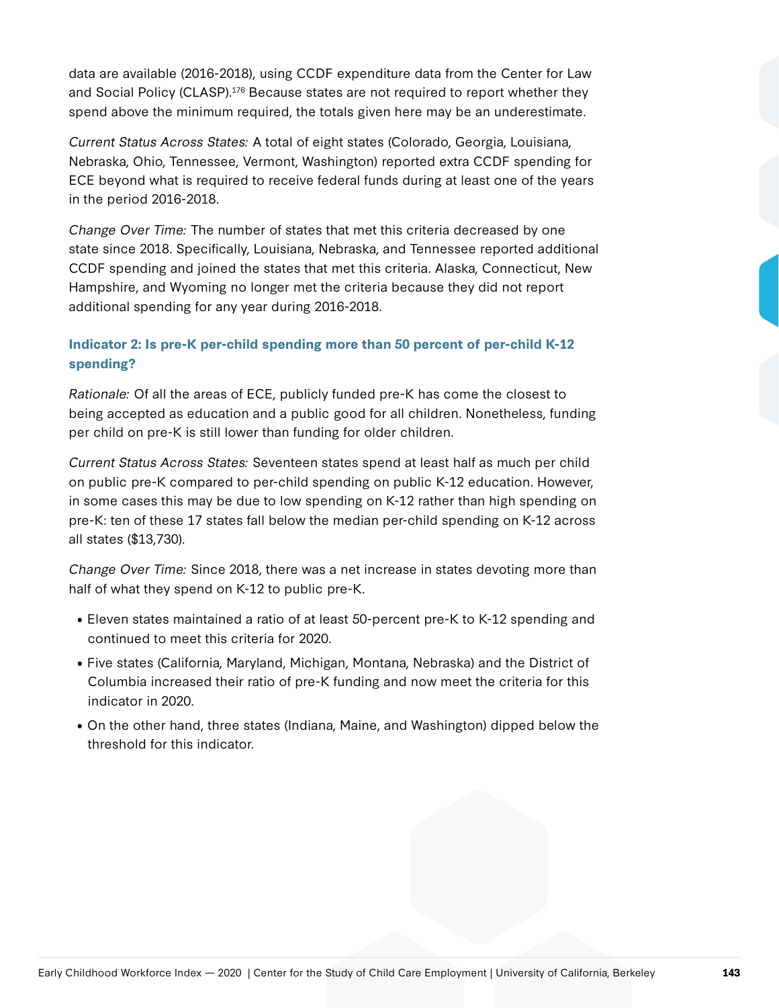data are available (2016-2018), using CCDF expenditure data from the Center for Law and Social Policy (CLASP).<sup>176</sup> Because states are not required to report whether they spend above the minimum required, the totals given here may be an underestimate.

Current Status Across States: A total of eight states (Colorado, Georgia, Louisiana, Nebraska, Ohio, Tennessee, Vermont, Washington) reported extra CCDF spending for ECE beyond what is required to receive federal funds during at least one of the years in the period 2016-2018.

Change Over Time: The number of states that met this criteria decreased by one state since 2018. Specifically, Louisiana, Nebraska, and Tennessee reported additional CCDF spending and joined the states that met this criteria. Alaska, Connecticut, New Hampshire, and Wyoming no longer met the criteria because they did not report additional spending for any year during 2016-2018.

## **Indicator 2: Is pre-K per-child spending more than 50 percent of per-child K-12 spending?**

Rationale: Of all the areas of ECE, publicly funded pre-K has come the closest to being accepted as education and a public good for all children. Nonetheless, funding per child on pre-K is still lower than funding for older children.

Current Status Across States: Seventeen states spend at least half as much per child on public pre-K compared to per-child spending on public K-12 education. However, in some cases this may be due to low spending on K-12 rather than high spending on pre-K: ten of these 17 states fall below the median per-child spending on K-12 across all states (\$13,730).

Change Over Time: Since 2018, there was a net increase in states devoting more than half of what they spend on K-12 to public pre-K.

- Eleven states maintained a ratio of at least 50-percent pre-K to K-12 spending and continued to meet this criteria for 2020.
- Five states (California, Maryland, Michigan, Montana, Nebraska) and the District of Columbia increased their ratio of pre-K funding and now meet the criteria for this indicator in 2020.
- On the other hand, three states (Indiana, Maine, and Washington) dipped below the threshold for this indicator.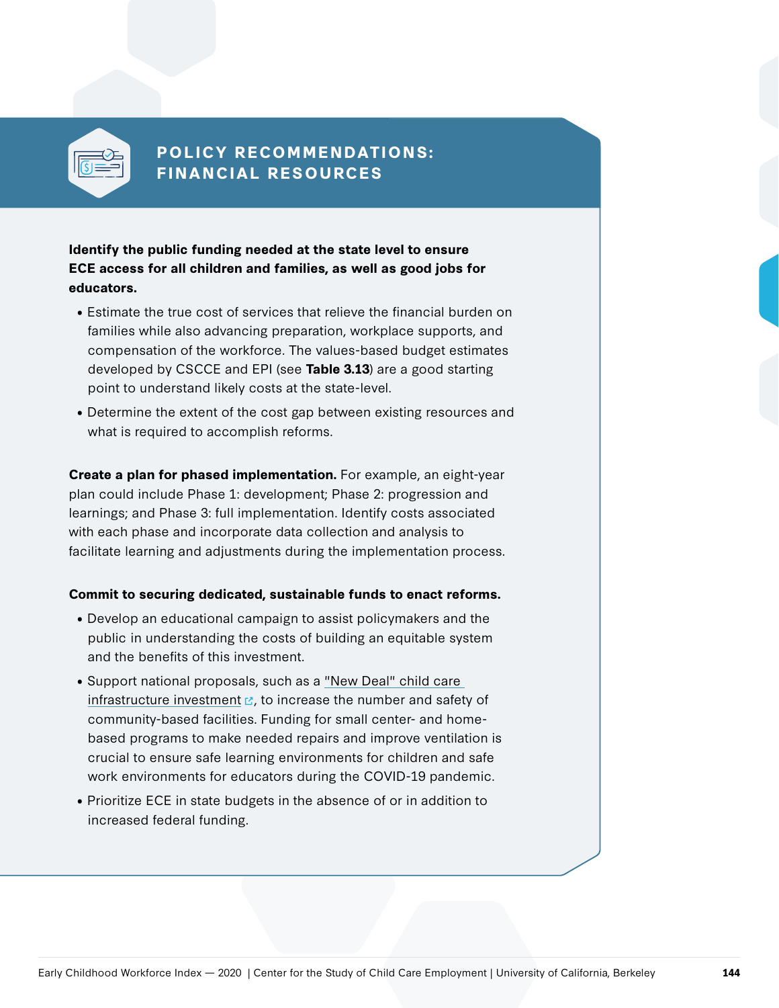

## **POLICY RECOMMENDATIONS: FINANCIAL RESOURCES**

**Identify the public funding needed at the state level to ensure ECE access for all children and families, as well as good jobs for educators.**

- Estimate the true cost of services that relieve the financial burden on families while also advancing preparation, workplace supports, and compensation of the workforce. The values-based budget estimates developed by CSCCE and EPI (see **Table 3.13**) are a good starting point to understand likely costs at the state-level.
- Determine the extent of the cost gap between existing resources and what is required to accomplish reforms.

**Create a plan for phased implementation.** For example, an eight-year plan could include Phase 1: development; Phase 2: progression and learnings; and Phase 3: full implementation. Identify costs associated with each phase and incorporate data collection and analysis to facilitate learning and adjustments during the implementation process.

## **Commit to securing dedicated, sustainable funds to enact reforms.**

- Develop an educational campaign to assist policymakers and the public in understanding the costs of building an equitable system and the benefits of this investment.
- Support national proposals, such as a "New Deal" child care [infrastructure investment](https://thehill.com/blogs/congress-blog/politics/507400-how-to-save-child-care-the-rural-electrification-of-america)  $\mathbb{E}_r$ , to increase the number and safety of community-based facilities. Funding for small center- and homebased programs to make needed repairs and improve ventilation is crucial to ensure safe learning environments for children and safe work environments for educators during the COVID-19 pandemic.
- Prioritize ECE in state budgets in the absence of or in addition to increased federal funding.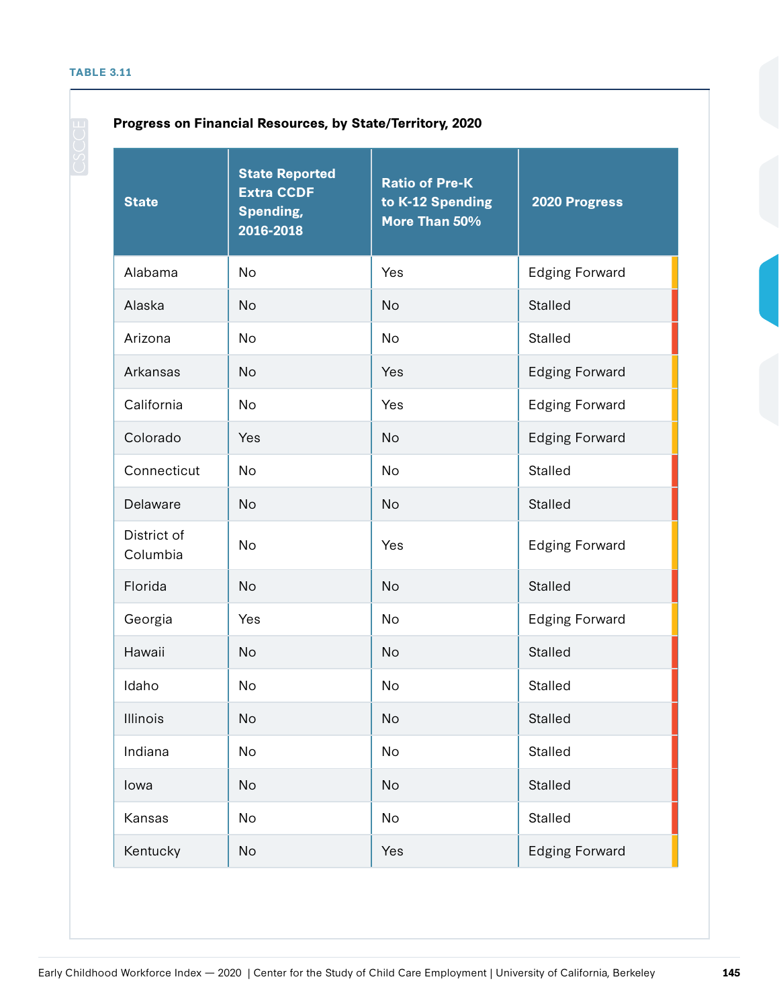## **Progress on Financial Resources, by State/Territory, 2020**

| <b>State</b>            | <b>State Reported</b><br><b>Extra CCDF</b><br><b>Spending,</b><br>2016-2018 | <b>Ratio of Pre-K</b><br>to K-12 Spending<br>More Than 50% | 2020 Progress         |
|-------------------------|-----------------------------------------------------------------------------|------------------------------------------------------------|-----------------------|
| Alabama                 | <b>No</b>                                                                   | Yes                                                        | <b>Edging Forward</b> |
| Alaska                  | <b>No</b>                                                                   | <b>No</b>                                                  | <b>Stalled</b>        |
| Arizona                 | <b>No</b>                                                                   | <b>No</b>                                                  | <b>Stalled</b>        |
| Arkansas                | <b>No</b>                                                                   | Yes                                                        | <b>Edging Forward</b> |
| California              | No                                                                          | Yes                                                        | <b>Edging Forward</b> |
| Colorado                | Yes                                                                         | <b>No</b>                                                  | <b>Edging Forward</b> |
| Connecticut             | No                                                                          | No                                                         | <b>Stalled</b>        |
| Delaware                | <b>No</b>                                                                   | <b>No</b>                                                  | <b>Stalled</b>        |
| District of<br>Columbia | <b>No</b>                                                                   | Yes                                                        | <b>Edging Forward</b> |
| Florida                 | <b>No</b>                                                                   | <b>No</b>                                                  | <b>Stalled</b>        |
| Georgia                 | Yes                                                                         | <b>No</b>                                                  | <b>Edging Forward</b> |
| Hawaii                  | <b>No</b>                                                                   | <b>No</b>                                                  | <b>Stalled</b>        |
| Idaho                   | <b>No</b>                                                                   | No                                                         | <b>Stalled</b>        |
| Illinois                | No                                                                          | <b>No</b>                                                  | Stalled               |
| Indiana                 | <b>No</b>                                                                   | <b>No</b>                                                  | <b>Stalled</b>        |
| lowa                    | <b>No</b>                                                                   | No                                                         | Stalled               |
| Kansas                  | <b>No</b>                                                                   | No                                                         | Stalled               |
| Kentucky                | No                                                                          | Yes                                                        | <b>Edging Forward</b> |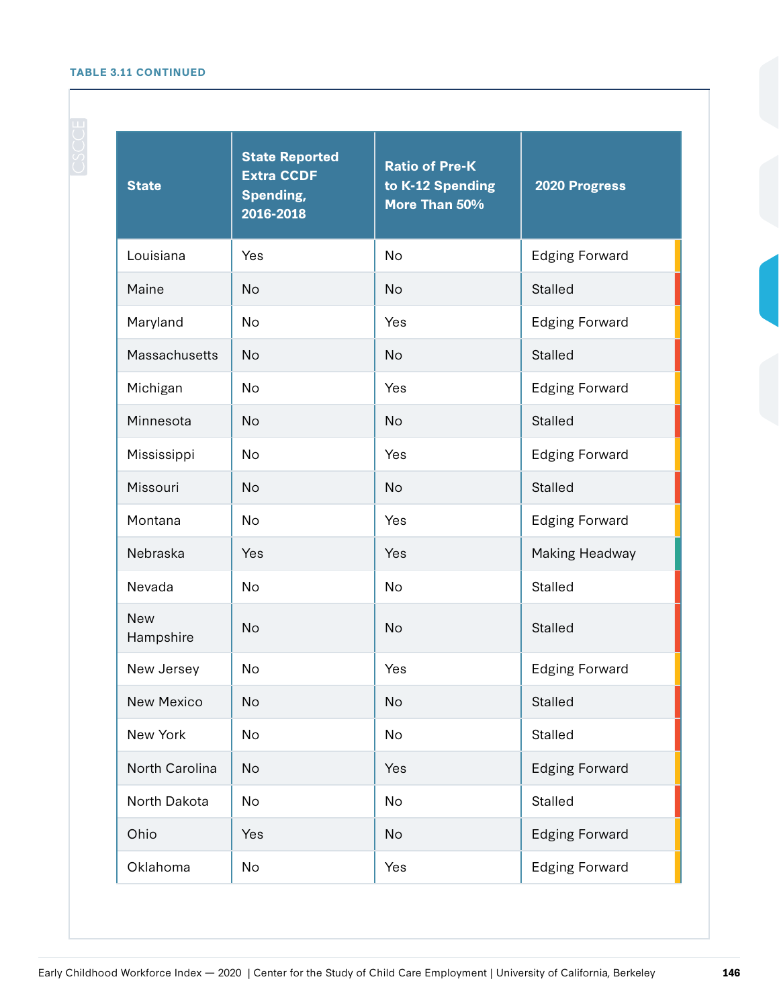## **TABLE 3.11 CONTINUED**

| <b>State</b>            | <b>State Reported</b><br><b>Extra CCDF</b><br><b>Spending,</b><br>2016-2018 | <b>Ratio of Pre-K</b><br>to K-12 Spending<br>More Than 50% | 2020 Progress         |
|-------------------------|-----------------------------------------------------------------------------|------------------------------------------------------------|-----------------------|
| Louisiana               | Yes                                                                         | No                                                         | <b>Edging Forward</b> |
| Maine                   | <b>No</b>                                                                   | <b>No</b>                                                  | <b>Stalled</b>        |
| Maryland                | <b>No</b>                                                                   | Yes                                                        | <b>Edging Forward</b> |
| Massachusetts           | <b>No</b>                                                                   | <b>No</b>                                                  | <b>Stalled</b>        |
| Michigan                | No                                                                          | Yes                                                        | <b>Edging Forward</b> |
| Minnesota               | <b>No</b>                                                                   | <b>No</b>                                                  | <b>Stalled</b>        |
| Mississippi             | No                                                                          | Yes                                                        | <b>Edging Forward</b> |
| Missouri                | <b>No</b>                                                                   | <b>No</b>                                                  | <b>Stalled</b>        |
| Montana                 | <b>No</b>                                                                   | Yes                                                        | <b>Edging Forward</b> |
| Nebraska                | Yes                                                                         | Yes                                                        | Making Headway        |
| Nevada                  | No                                                                          | <b>No</b>                                                  | <b>Stalled</b>        |
| <b>New</b><br>Hampshire | <b>No</b>                                                                   | <b>No</b>                                                  | <b>Stalled</b>        |
| New Jersey              | <b>No</b>                                                                   | Yes                                                        | <b>Edging Forward</b> |
| New Mexico              | No                                                                          | No                                                         | Stalled               |
| New York                | No                                                                          | No                                                         | Stalled               |
| North Carolina          | No                                                                          | Yes                                                        | <b>Edging Forward</b> |
| North Dakota            | No                                                                          | No                                                         | Stalled               |
| Ohio                    | Yes                                                                         | No                                                         | <b>Edging Forward</b> |
| Oklahoma                | No                                                                          | Yes                                                        | <b>Edging Forward</b> |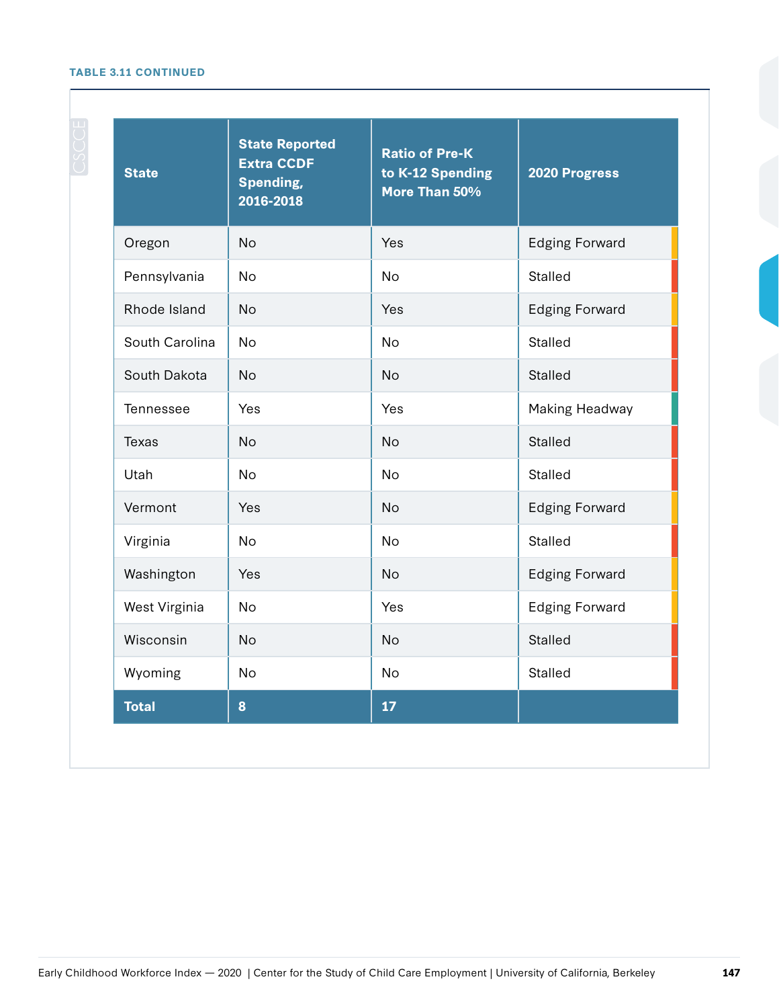## **TABLE 3.11 CONTINUED**

| <b>State</b>   | <b>State Reported</b><br><b>Extra CCDF</b><br><b>Spending,</b><br>2016-2018 | <b>Ratio of Pre-K</b><br>to K-12 Spending<br>More Than 50% | 2020 Progress         |
|----------------|-----------------------------------------------------------------------------|------------------------------------------------------------|-----------------------|
| Oregon         | <b>No</b>                                                                   | Yes                                                        | <b>Edging Forward</b> |
| Pennsylvania   | No                                                                          | <b>No</b>                                                  | Stalled               |
| Rhode Island   | <b>No</b>                                                                   | Yes                                                        | <b>Edging Forward</b> |
| South Carolina | <b>No</b>                                                                   | <b>No</b>                                                  | <b>Stalled</b>        |
| South Dakota   | <b>No</b>                                                                   | <b>No</b>                                                  | <b>Stalled</b>        |
| Tennessee      | Yes                                                                         | Yes                                                        | Making Headway        |
| <b>Texas</b>   | <b>No</b>                                                                   | <b>No</b>                                                  | <b>Stalled</b>        |
| Utah           | <b>No</b>                                                                   | <b>No</b>                                                  | <b>Stalled</b>        |
| Vermont        | Yes                                                                         | <b>No</b>                                                  | <b>Edging Forward</b> |
| Virginia       | No                                                                          | <b>No</b>                                                  | Stalled               |
| Washington     | Yes                                                                         | <b>No</b>                                                  | <b>Edging Forward</b> |
| West Virginia  | No                                                                          | Yes                                                        | <b>Edging Forward</b> |
| Wisconsin      | <b>No</b>                                                                   | <b>No</b>                                                  | Stalled               |
| Wyoming        | No                                                                          | <b>No</b>                                                  | <b>Stalled</b>        |
| <b>Total</b>   | 8                                                                           | 17                                                         |                       |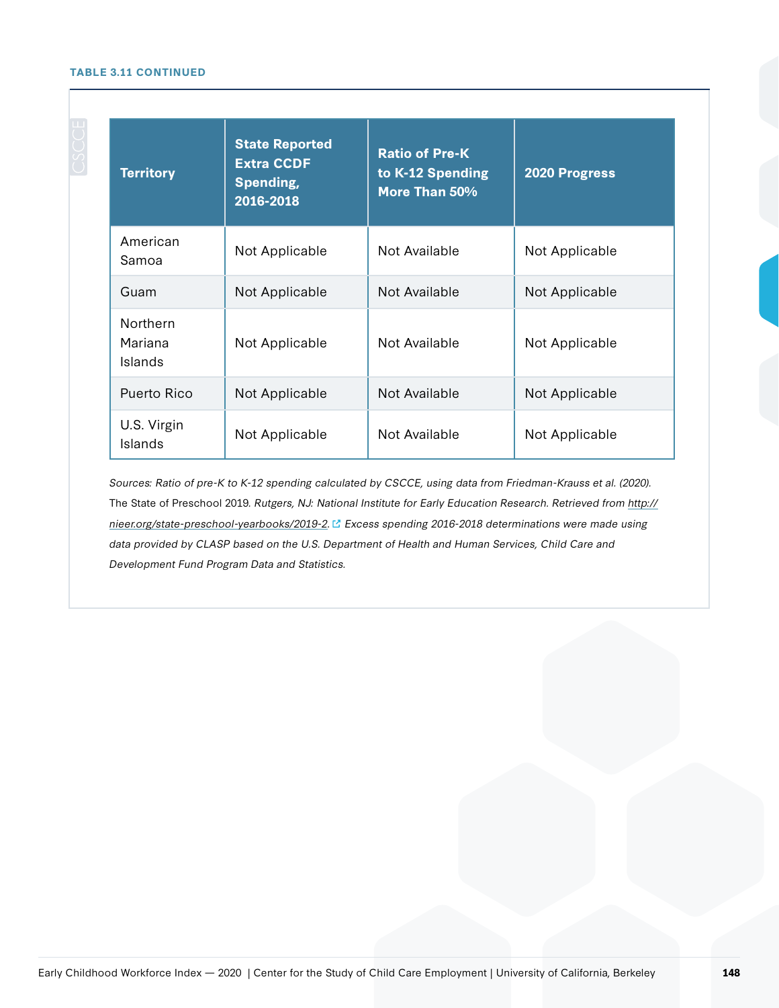#### **TABLE 3.11 CONTINUED**

| <b>Territory</b>                      | <b>State Reported</b><br><b>Extra CCDF</b><br>Spending,<br>2016-2018 | <b>Ratio of Pre-K</b><br>to K-12 Spending<br>More Than 50% | 2020 Progress  |
|---------------------------------------|----------------------------------------------------------------------|------------------------------------------------------------|----------------|
| American<br>Samoa                     | Not Applicable                                                       | Not Available                                              | Not Applicable |
| Guam                                  | Not Applicable                                                       | Not Available                                              | Not Applicable |
| <b>Northern</b><br>Mariana<br>Islands | Not Applicable                                                       | Not Available                                              | Not Applicable |
| Puerto Rico                           | Not Applicable                                                       | Not Available                                              | Not Applicable |
| U.S. Virgin<br>Islands                | Not Applicable                                                       | Not Available                                              | Not Applicable |

Sources: Ratio of pre-K to K-12 spending calculated by CSCCE, using data from Friedman-Krauss et al. (2020). The State of Preschool 2019. Rutgers, NJ: National Institute for Early Education Research. Retrieved from [http://](https://nieer.org/state-preschool-yearbooks/2019-2) [nieer.org/state-preschool-yearbooks/2019-2.](https://nieer.org/state-preschool-yearbooks/2019-2) Excess spending 2016-2018 determinations were made using data provided by CLASP based on the U.S. Department of Health and Human Services, Child Care and Development Fund Program Data and Statistics.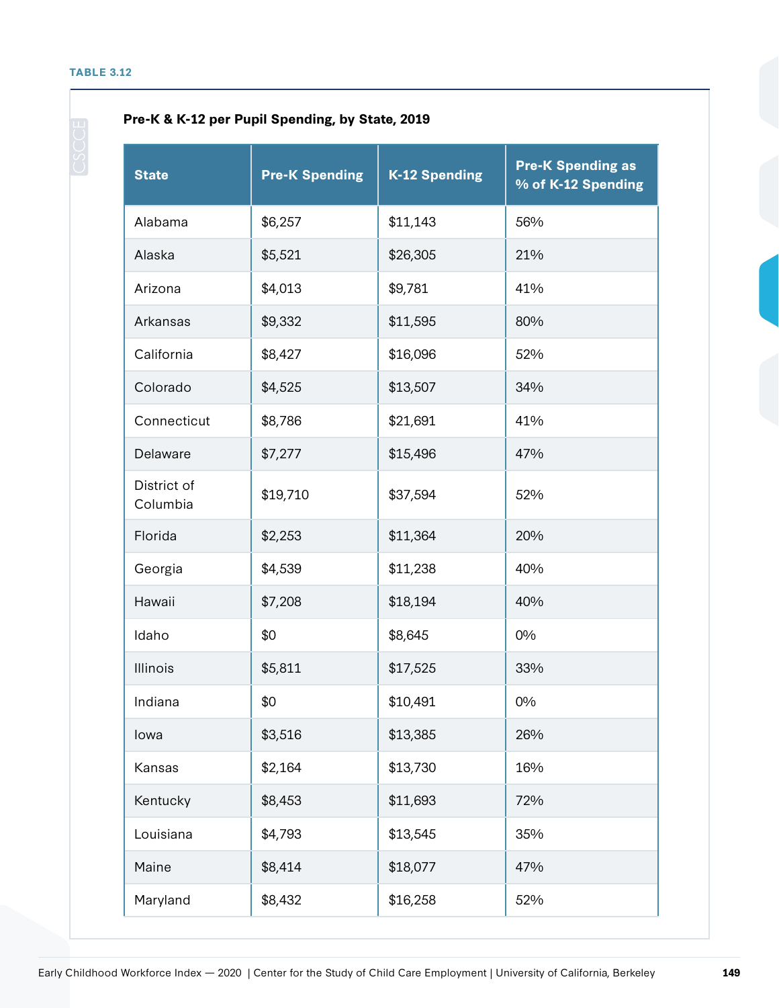## **Pre-K & K-12 per Pupil Spending, by State, 2019**

| <b>State</b>            | <b>Pre-K Spending</b> | <b>K-12 Spending</b> | <b>Pre-K Spending as</b><br>% of K-12 Spending |
|-------------------------|-----------------------|----------------------|------------------------------------------------|
| Alabama                 | \$6,257               | \$11,143             | 56%                                            |
| Alaska                  | \$5,521               | \$26,305             | 21%                                            |
| Arizona                 | \$4,013               | \$9,781              | 41%                                            |
| Arkansas                | \$9,332               | \$11,595             | 80%                                            |
| California              | \$8,427               | \$16,096             | 52%                                            |
| Colorado                | \$4,525               | \$13,507             | 34%                                            |
| Connecticut             | \$8,786               | \$21,691             | 41%                                            |
| Delaware                | \$7,277               | \$15,496             | 47%                                            |
| District of<br>Columbia | \$19,710              | \$37,594             | 52%                                            |
| Florida                 | \$2,253               | \$11,364             | 20%                                            |
| Georgia                 | \$4,539               | \$11,238             | 40%                                            |
| Hawaii                  | \$7,208               | \$18,194             | 40%                                            |
| Idaho                   | \$0                   | \$8,645              | 0%                                             |
| Illinois                | \$5,811               | \$17,525             | 33%                                            |
| Indiana                 | \$0                   | \$10,491             | 0%                                             |
| lowa                    | \$3,516               | \$13,385             | 26%                                            |
| Kansas                  | \$2,164               | \$13,730             | 16%                                            |
| Kentucky                | \$8,453               | \$11,693             | 72%                                            |
| Louisiana               | \$4,793               | \$13,545             | 35%                                            |
| Maine                   | \$8,414               | \$18,077             | 47%                                            |
| Maryland                | \$8,432               | \$16,258             | 52%                                            |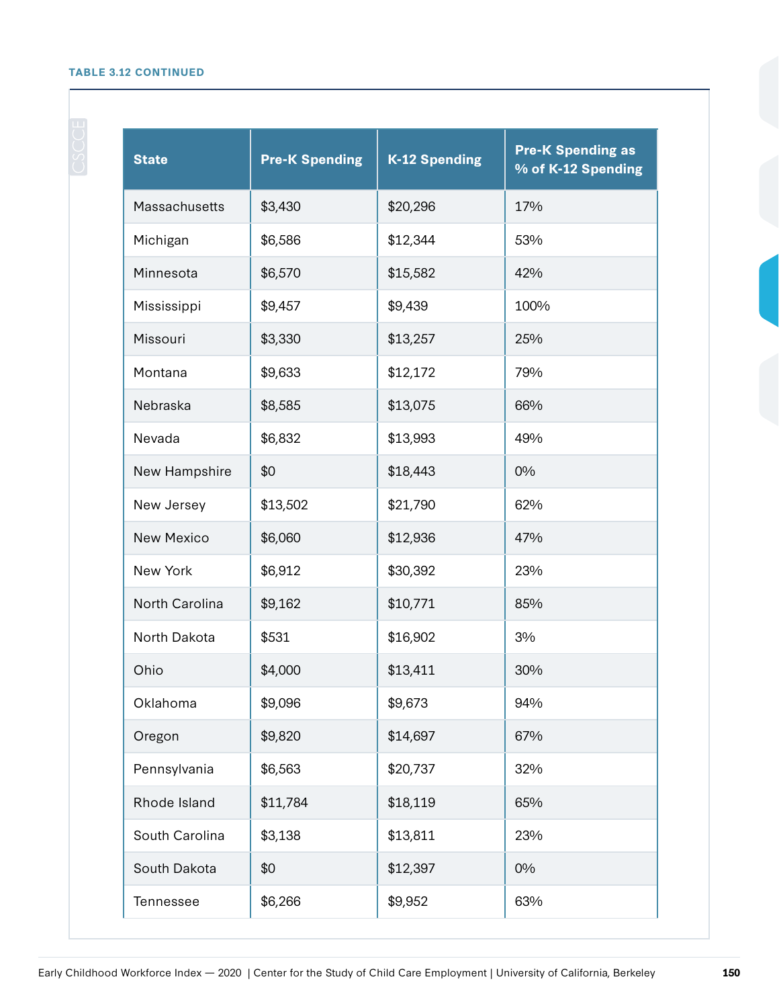## **TABLE 3.12 CONTINUED**

| <b>State</b>      | <b>Pre-K Spending</b> | <b>K-12 Spending</b> | <b>Pre-K Spending as</b><br>% of K-12 Spending |
|-------------------|-----------------------|----------------------|------------------------------------------------|
| Massachusetts     | \$3,430               | \$20,296             | 17%                                            |
| Michigan          | \$6,586               | \$12,344             | 53%                                            |
| Minnesota         | \$6,570               | \$15,582             | 42%                                            |
| Mississippi       | \$9,457               | \$9,439              | 100%                                           |
| Missouri          | \$3,330               | \$13,257             | 25%                                            |
| Montana           | \$9,633               | \$12,172             | 79%                                            |
| Nebraska          | \$8,585               | \$13,075             | 66%                                            |
| Nevada            | \$6,832               | \$13,993             | 49%                                            |
| New Hampshire     | \$0                   | \$18,443             | 0%                                             |
| New Jersey        | \$13,502              | \$21,790             | 62%                                            |
| <b>New Mexico</b> | \$6,060               | \$12,936             | 47%                                            |
| New York          | \$6,912               | \$30,392             | 23%                                            |
| North Carolina    | \$9,162               | \$10,771             | 85%                                            |
| North Dakota      | \$531                 | \$16,902             | 3%                                             |
| Ohio              | \$4,000               | \$13,411             | 30%                                            |
| Oklahoma          | \$9,096               | \$9,673              | 94%                                            |
| Oregon            | \$9,820               | \$14,697             | 67%                                            |
| Pennsylvania      | \$6,563               | \$20,737             | 32%                                            |
| Rhode Island      | \$11,784              | \$18,119             | 65%                                            |
| South Carolina    | \$3,138               | \$13,811             | 23%                                            |
| South Dakota      | \$0                   | \$12,397             | 0%                                             |
| Tennessee         | \$6,266               | \$9,952              | 63%                                            |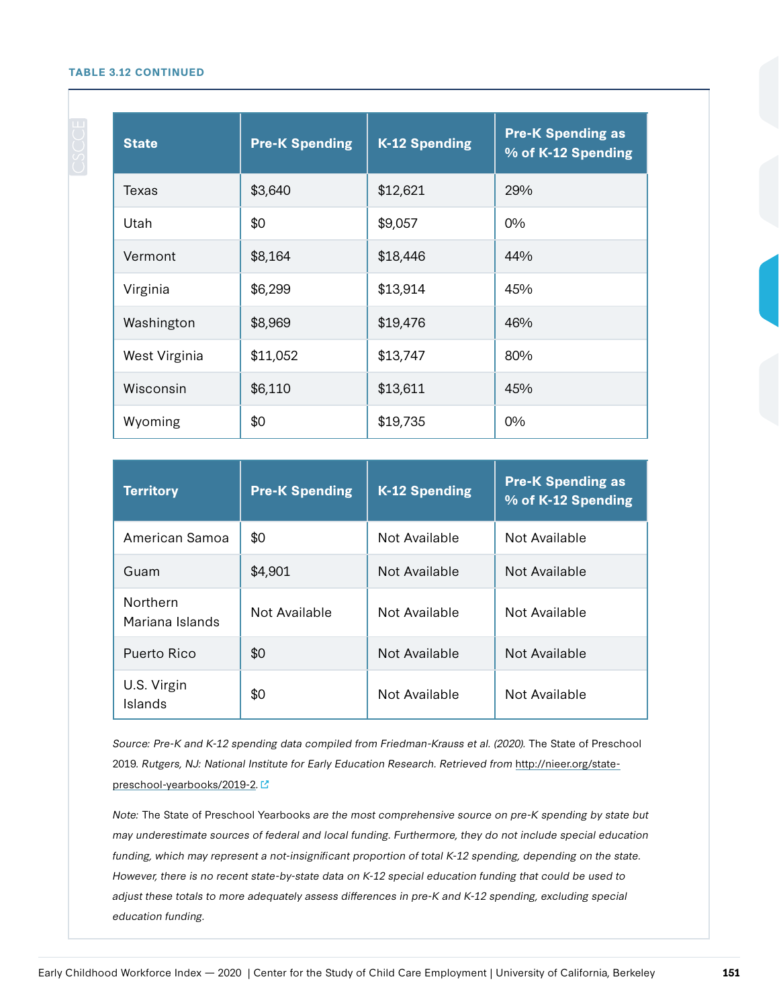#### **TABLE 3.12 CONTINUED**

| <b>State</b>  | <b>Pre-K Spending</b> | <b>K-12 Spending</b> | <b>Pre-K Spending as</b><br>% of K-12 Spending |
|---------------|-----------------------|----------------------|------------------------------------------------|
| Texas         | \$3,640               | \$12,621             | 29%                                            |
| Utah          | \$0                   | \$9,057              | $0\%$                                          |
| Vermont       | \$8,164               | \$18,446             | 44%                                            |
| Virginia      | \$6,299               | \$13,914             | 45%                                            |
| Washington    | \$8,969               | \$19,476             | 46%                                            |
| West Virginia | \$11,052              | \$13,747             | 80%                                            |
| Wisconsin     | \$6,110               | \$13,611             | 45%                                            |
| Wyoming       | \$0                   | \$19,735             | $0\%$                                          |

| <b>Territory</b>                   | <b>Pre-K Spending</b> | <b>K-12 Spending</b> | <b>Pre-K Spending as</b><br>% of K-12 Spending |
|------------------------------------|-----------------------|----------------------|------------------------------------------------|
| American Samoa                     | \$0                   | Not Available        | Not Available                                  |
| Guam                               | \$4,901               | Not Available        | Not Available                                  |
| <b>Northern</b><br>Mariana Islands | Not Available         | Not Available        | Not Available                                  |
| Puerto Rico                        | \$0                   | Not Available        | Not Available                                  |
| U.S. Virgin<br>Islands             | \$0                   | Not Available        | Not Available                                  |

Source: Pre-K and K-12 spending data compiled from Friedman-Krauss et al. (2020). The State of Preschool 2019. Rutgers, NJ: National Institute for Early Education Research. Retrieved from http://nieer.org/statepreschool-yearbooks/2019-2.

Note: The State of Preschool Yearbooks are the most comprehensive source on pre-K spending by state but may underestimate sources of federal and local funding. Furthermore, they do not include special education funding, which may represent a not-insignificant proportion of total K-12 spending, depending on the state. However, there is no recent state-by-state data on K-12 special education funding that could be used to adjust these totals to more adequately assess differences in pre-K and K-12 spending, excluding special education funding.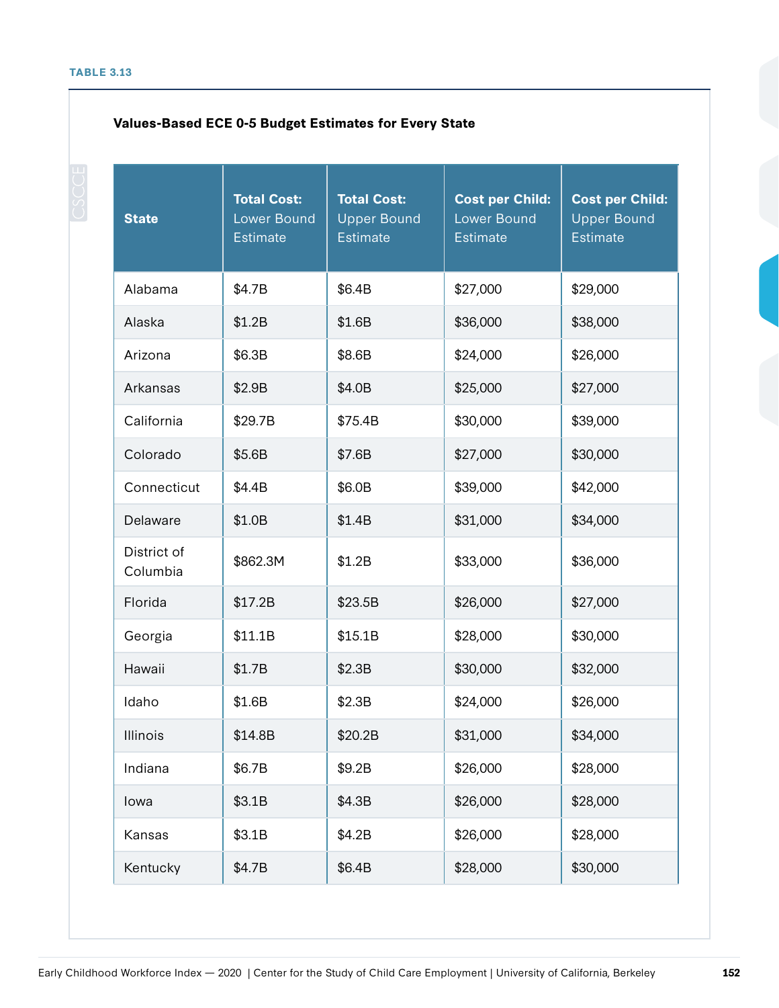## **Values-Based ECE 0-5 Budget Estimates for Every State**

| <b>State</b>            | <b>Total Cost:</b><br><b>Lower Bound</b><br><b>Estimate</b> | <b>Total Cost:</b><br>Upper Bound<br><b>Estimate</b> | <b>Cost per Child:</b><br><b>Lower Bound</b><br><b>Estimate</b> | <b>Cost per Child:</b><br><b>Upper Bound</b><br><b>Estimate</b> |
|-------------------------|-------------------------------------------------------------|------------------------------------------------------|-----------------------------------------------------------------|-----------------------------------------------------------------|
| Alabama                 | \$4.7B                                                      | \$6.4B                                               | \$27,000                                                        | \$29,000                                                        |
| Alaska                  | \$1.2B                                                      | \$1.6B                                               | \$36,000                                                        | \$38,000                                                        |
| Arizona                 | \$6.3B                                                      | \$8.6B                                               | \$24,000                                                        | \$26,000                                                        |
| Arkansas                | \$2.9B                                                      | \$4.0B                                               | \$25,000                                                        | \$27,000                                                        |
| California              | \$29.7B                                                     | \$75.4B                                              | \$30,000                                                        | \$39,000                                                        |
| Colorado                | \$5.6B                                                      | \$7.6B                                               | \$27,000                                                        | \$30,000                                                        |
| Connecticut             | \$4.4B                                                      | \$6.0B                                               | \$39,000                                                        | \$42,000                                                        |
| Delaware                | \$1.0B                                                      | \$1.4B                                               | \$31,000                                                        | \$34,000                                                        |
| District of<br>Columbia | \$862.3M                                                    | \$1.2B                                               | \$33,000                                                        | \$36,000                                                        |
| Florida                 | \$17.2B                                                     | \$23.5B                                              | \$26,000                                                        | \$27,000                                                        |
| Georgia                 | \$11.1B                                                     | \$15.1B                                              | \$28,000                                                        | \$30,000                                                        |
| Hawaii                  | \$1.7B                                                      | \$2.3B                                               | \$30,000                                                        | \$32,000                                                        |
| Idaho                   | \$1.6B                                                      | \$2.3B                                               | \$24,000                                                        | \$26,000                                                        |
| Illinois                | \$14.8B                                                     | \$20.2B                                              | \$31,000                                                        | \$34,000                                                        |
| Indiana                 | \$6.7B                                                      | \$9.2B                                               | \$26,000                                                        | \$28,000                                                        |
| lowa                    | \$3.1B                                                      | \$4.3B                                               | \$26,000                                                        | \$28,000                                                        |
| Kansas                  | \$3.1B                                                      | \$4.2B                                               | \$26,000                                                        | \$28,000                                                        |
| Kentucky                | \$4.7B                                                      | \$6.4B                                               | \$28,000                                                        | \$30,000                                                        |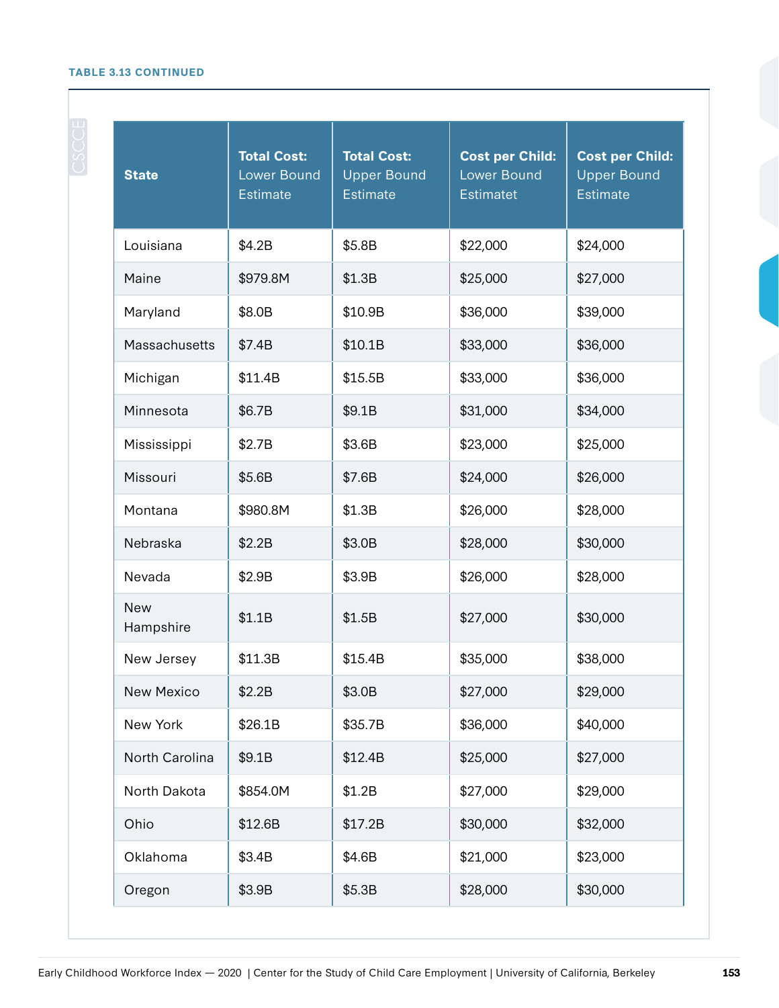## **TABLE 3.13 CONTINUED**

| <b>State</b>            | <b>Total Cost:</b><br><b>Lower Bound</b><br><b>Estimate</b> | <b>Total Cost:</b><br><b>Upper Bound</b><br><b>Estimate</b> | <b>Cost per Child:</b><br><b>Lower Bound</b><br><b>Estimatet</b> | <b>Cost per Child:</b><br><b>Upper Bound</b><br><b>Estimate</b> |
|-------------------------|-------------------------------------------------------------|-------------------------------------------------------------|------------------------------------------------------------------|-----------------------------------------------------------------|
| Louisiana               | \$4.2B                                                      | \$5.8B                                                      | \$22,000                                                         | \$24,000                                                        |
| Maine                   | \$979.8M                                                    | \$1.3B                                                      | \$25,000                                                         | \$27,000                                                        |
| Maryland                | \$8.0B                                                      | \$10.9B                                                     | \$36,000                                                         | \$39,000                                                        |
| Massachusetts           | \$7.4B                                                      | \$10.1B                                                     | \$33,000                                                         | \$36,000                                                        |
| Michigan                | \$11.4B                                                     | \$15.5B                                                     | \$33,000                                                         | \$36,000                                                        |
| Minnesota               | \$6.7B                                                      | \$9.1B                                                      | \$31,000                                                         | \$34,000                                                        |
| Mississippi             | \$2.7B                                                      | \$3.6B                                                      | \$23,000                                                         | \$25,000                                                        |
| Missouri                | \$5.6B                                                      | \$7.6B                                                      | \$24,000                                                         | \$26,000                                                        |
| Montana                 | \$980.8M                                                    | \$1.3B                                                      | \$26,000                                                         | \$28,000                                                        |
| Nebraska                | \$2.2B                                                      | \$3.0B                                                      | \$28,000                                                         | \$30,000                                                        |
| Nevada                  | \$2.9B                                                      | \$3.9B                                                      | \$26,000                                                         | \$28,000                                                        |
| <b>New</b><br>Hampshire | \$1.1B                                                      | \$1.5B                                                      | \$27,000                                                         | \$30,000                                                        |
| New Jersey              | \$11.3B                                                     | \$15.4B                                                     | \$35,000                                                         | \$38,000                                                        |
| New Mexico              | \$2.2B                                                      | \$3.0B                                                      | \$27,000                                                         | \$29,000                                                        |
| New York                | \$26.1B                                                     | \$35.7B                                                     | \$36,000                                                         | \$40,000                                                        |
| North Carolina          | \$9.1B                                                      | \$12.4B                                                     | \$25,000                                                         | \$27,000                                                        |
| North Dakota            | \$854.0M                                                    | \$1.2B                                                      | \$27,000                                                         | \$29,000                                                        |
| Ohio                    | \$12.6B                                                     | \$17.2B                                                     | \$30,000                                                         | \$32,000                                                        |
| Oklahoma                | \$3.4B                                                      | \$4.6B                                                      | \$21,000                                                         | \$23,000                                                        |
| Oregon                  | \$3.9B                                                      | \$5.3B                                                      | \$28,000                                                         | \$30,000                                                        |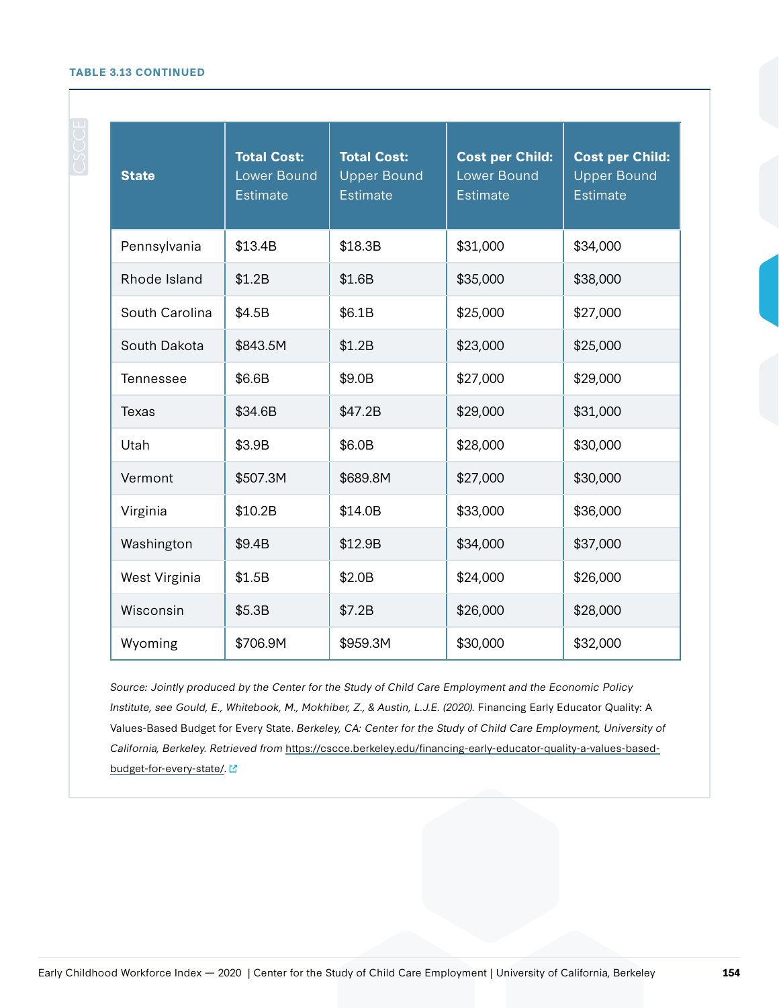#### **TABLE 3.13 CONTINUED**

| <b>State</b>     | <b>Total Cost:</b><br>Lower Bound<br><b>Estimate</b> | <b>Total Cost:</b><br><b>Upper Bound</b><br>Estimate | <b>Cost per Child:</b><br><b>Lower Bound</b><br><b>Estimate</b> | <b>Cost per Child:</b><br><b>Upper Bound</b><br><b>Estimate</b> |
|------------------|------------------------------------------------------|------------------------------------------------------|-----------------------------------------------------------------|-----------------------------------------------------------------|
| Pennsylvania     | \$13.4B                                              | \$18.3B                                              | \$31,000                                                        | \$34,000                                                        |
| Rhode Island     | \$1.2B                                               | \$1.6B                                               | \$35,000                                                        | \$38,000                                                        |
| South Carolina   | \$4.5B                                               | \$6.1B                                               | \$25,000                                                        | \$27,000                                                        |
| South Dakota     | \$843.5M                                             | \$1.2B                                               | \$23,000                                                        | \$25,000                                                        |
| <b>Tennessee</b> | \$6.6B                                               | \$9.0B                                               | \$27,000                                                        | \$29,000                                                        |
| Texas            | \$34.6B                                              | \$47.2B                                              | \$29,000                                                        | \$31,000                                                        |
| Utah             | \$3.9B                                               | \$6.0B                                               | \$28,000                                                        | \$30,000                                                        |
| Vermont          | \$507.3M                                             | \$689.8M                                             | \$27,000                                                        | \$30,000                                                        |
| Virginia         | \$10.2B                                              | \$14.0B                                              | \$33,000                                                        | \$36,000                                                        |
| Washington       | \$9.4B                                               | \$12.9B                                              | \$34,000                                                        | \$37,000                                                        |
| West Virginia    | \$1.5B                                               | \$2.0B                                               | \$24,000                                                        | \$26,000                                                        |
| Wisconsin        | \$5.3B                                               | \$7.2B                                               | \$26,000                                                        | \$28,000                                                        |
| Wyoming          | \$706.9M                                             | \$959.3M                                             | \$30,000                                                        | \$32,000                                                        |

Source: Jointly produced by the Center for the Study of Child Care Employment and the Economic Policy Institute, see Gould, E., Whitebook, M., Mokhiber, Z., & Austin, L.J.E. (2020). Financing Early Educator Quality: A Values-Based Budget for Every State. Berkeley, CA: Center for the Study of Child Care Employment, University of California, Berkeley. Retrieved from [https://cscce.berkeley.edu/financing-early-educator-quality-a-values-based](https://cscce.berkeley.edu/financing-early-educator-quality-a-values-based-budget-for-every-state/)[budget-for-every-state/](https://cscce.berkeley.edu/financing-early-educator-quality-a-values-based-budget-for-every-state/). [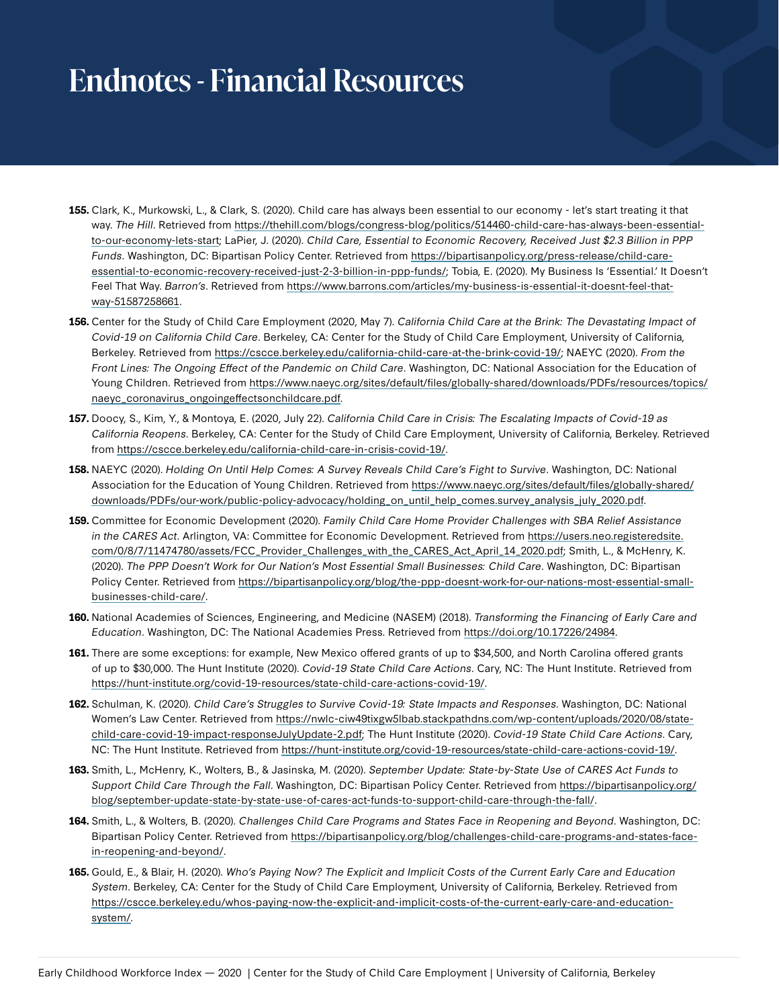## **Endnotes - Financial Resources**

- **155.** Clark, K., Murkowski, L., & Clark, S. (2020). Child care has always been essential to our economy let's start treating it that way. The Hill. Retrieved from [https://thehill.com/blogs/congress-blog/politics/514460-child-care-has-always-been-essential](https://thehill.com/blogs/congress-blog/politics/514460-child-care-has-always-been-essential-to-our-economy-lets-start)[to-our-economy-lets-start](https://thehill.com/blogs/congress-blog/politics/514460-child-care-has-always-been-essential-to-our-economy-lets-start); LaPier, J. (2020). Child Care, Essential to Economic Recovery, Received Just \$2.3 Billion in PPP Funds. Washington, DC: Bipartisan Policy Center. Retrieved from [https://bipartisanpolicy.org/press-release/child-care](https://bipartisanpolicy.org/press-release/child-care-essential-to-economic-recovery-received-just-2-3-billion-in-ppp-funds/)[essential-to-economic-recovery-received-just-2-3-billion-in-ppp-funds/;](https://bipartisanpolicy.org/press-release/child-care-essential-to-economic-recovery-received-just-2-3-billion-in-ppp-funds/) Tobia, E. (2020). My Business Is 'Essential.' It Doesn't Feel That Way. Barron's. Retrieved from [https://www.barrons.com/articles/my-business-is-essential-it-doesnt-feel-that](https://www.barrons.com/articles/my-business-is-essential-it-doesnt-feel-that-way-51587258661)[way-51587258661](https://www.barrons.com/articles/my-business-is-essential-it-doesnt-feel-that-way-51587258661).
- **156.** Center for the Study of Child Care Employment (2020, May 7). California Child Care at the Brink: The Devastating Impact of Covid-19 on California Child Care. Berkeley, CA: Center for the Study of Child Care Employment, University of California, Berkeley. Retrieved from <https://cscce.berkeley.edu/california-child-care-at-the-brink-covid-19/>; NAEYC (2020). From the Front Lines: The Ongoing Effect of the Pandemic on Child Care. Washington, DC: National Association for the Education of Young Children. Retrieved from [https://www.naeyc.org/sites/default/files/globally-shared/downloads/PDFs/resources/topics/](https://www.naeyc.org/sites/default/files/globally-shared/downloads/PDFs/resources/topics/naeyc_coronavirus_ongoingeffectsonchildcare.pdf) [naeyc\\_coronavirus\\_ongoingeffectsonchildcare.pdf](https://www.naeyc.org/sites/default/files/globally-shared/downloads/PDFs/resources/topics/naeyc_coronavirus_ongoingeffectsonchildcare.pdf).
- **157.** Doocy, S., Kim, Y., & Montoya, E. (2020, July 22). California Child Care in Crisis: The Escalating Impacts of Covid-19 as California Reopens. Berkeley, CA: Center for the Study of Child Care Employment, University of California, Berkeley. Retrieved from<https://cscce.berkeley.edu/california-child-care-in-crisis-covid-19/>.
- **158.** NAEYC (2020). Holding On Until Help Comes: A Survey Reveals Child Care's Fight to Survive. Washington, DC: National Association for the Education of Young Children. Retrieved from [https://www.naeyc.org/sites/default/files/globally-shared/](https://www.naeyc.org/sites/default/files/globally-shared/downloads/PDFs/our-work/public-policy-advocacy/holding_on_until_help_comes.survey_analysis_july_2020.pdf) [downloads/PDFs/our-work/public-policy-advocacy/holding\\_on\\_until\\_help\\_comes.survey\\_analysis\\_july\\_2020.pdf.](https://www.naeyc.org/sites/default/files/globally-shared/downloads/PDFs/our-work/public-policy-advocacy/holding_on_until_help_comes.survey_analysis_july_2020.pdf)
- **159.** Committee for Economic Development (2020). Family Child Care Home Provider Challenges with SBA Relief Assistance in the CARES Act. Arlington, VA: Committee for Economic Development. Retrieved from [https://users.neo.registeredsite.](https://users.neo.registeredsite.com/0/8/7/11474780/assets/FCC_Provider_Challenges_with_the_CARES_Act_April_14_2020.pdf) [com/0/8/7/11474780/assets/FCC\\_Provider\\_Challenges\\_with\\_the\\_CARES\\_Act\\_April\\_14\\_2020.pdf;](https://users.neo.registeredsite.com/0/8/7/11474780/assets/FCC_Provider_Challenges_with_the_CARES_Act_April_14_2020.pdf) Smith, L., & McHenry, K. (2020). The PPP Doesn't Work for Our Nation's Most Essential Small Businesses: Child Care. Washington, DC: Bipartisan Policy Center. Retrieved from [https://bipartisanpolicy.org/blog/the-ppp-doesnt-work-for-our-nations-most-essential-small](https://bipartisanpolicy.org/blog/the-ppp-doesnt-work-for-our-nations-most-essential-small-businesses-child-care/)[businesses-child-care/.](https://bipartisanpolicy.org/blog/the-ppp-doesnt-work-for-our-nations-most-essential-small-businesses-child-care/)
- **160.** National Academies of Sciences, Engineering, and Medicine (NASEM) (2018). Transforming the Financing of Early Care and Education. Washington, DC: The National Academies Press. Retrieved from [https://doi.org/10.17226/24984.](https://doi.org/10.17226/24984)
- **161.** There are some exceptions: for example, New Mexico offered grants of up to \$34,500, and North Carolina offered grants of up to \$30,000. The Hunt Institute (2020). Covid-19 State Child Care Actions. Cary, NC: The Hunt Institute. Retrieved from [https://hunt-institute.org/covid-19-resources/state-child-care-actions-covid-19/.](https://hunt-institute.org/covid-19-resources/state-child-care-actions-covid-19/)
- **162.** Schulman, K. (2020). Child Care's Struggles to Survive Covid-19: State Impacts and Responses. Washington, DC: National Women's Law Center. Retrieved from [https://nwlc-ciw49tixgw5lbab.stackpathdns.com/wp-content/uploads/2020/08/state](https://nwlc-ciw49tixgw5lbab.stackpathdns.com/wp-content/uploads/2020/08/state-child-care-covid-19-impact-responseJulyUpdate-2.pdf)[child-care-covid-19-impact-responseJulyUpdate-2.pdf;](https://nwlc-ciw49tixgw5lbab.stackpathdns.com/wp-content/uploads/2020/08/state-child-care-covid-19-impact-responseJulyUpdate-2.pdf) The Hunt Institute (2020). Covid-19 State Child Care Actions. Cary, NC: The Hunt Institute. Retrieved from<https://hunt-institute.org/covid-19-resources/state-child-care-actions-covid-19/>.
- **163.** Smith, L., McHenry, K., Wolters, B., & Jasinska, M. (2020). September Update: State-by-State Use of CARES Act Funds to Support Child Care Through the Fall. Washington, DC: Bipartisan Policy Center. Retrieved from [https://bipartisanpolicy.org/](https://bipartisanpolicy.org/blog/september-update-state-by-state-use-of-cares-act-funds-to-support-child-care-through-the-fall/) [blog/september-update-state-by-state-use-of-cares-act-funds-to-support-child-care-through-the-fall/](https://bipartisanpolicy.org/blog/september-update-state-by-state-use-of-cares-act-funds-to-support-child-care-through-the-fall/).
- **164.** Smith, L., & Wolters, B. (2020). Challenges Child Care Programs and States Face in Reopening and Beyond. Washington, DC: Bipartisan Policy Center. Retrieved from [https://bipartisanpolicy.org/blog/challenges-child-care-programs-and-states-face](https://bipartisanpolicy.org/blog/challenges-child-care-programs-and-states-face-in-reopening-and-beyond/)[in-reopening-and-beyond/.](https://bipartisanpolicy.org/blog/challenges-child-care-programs-and-states-face-in-reopening-and-beyond/)
- **165.** Gould, E., & Blair, H. (2020). Who's Paying Now? The Explicit and Implicit Costs of the Current Early Care and Education System. Berkeley, CA: Center for the Study of Child Care Employment, University of California, Berkeley. Retrieved from [https://cscce.berkeley.edu/whos-paying-now-the-explicit-and-implicit-costs-of-the-current-early-care-and-education](https://cscce.berkeley.edu/whos-paying-now-the-explicit-and-implicit-costs-of-the-current-early-care-and-education-system/)[system/.](https://cscce.berkeley.edu/whos-paying-now-the-explicit-and-implicit-costs-of-the-current-early-care-and-education-system/)